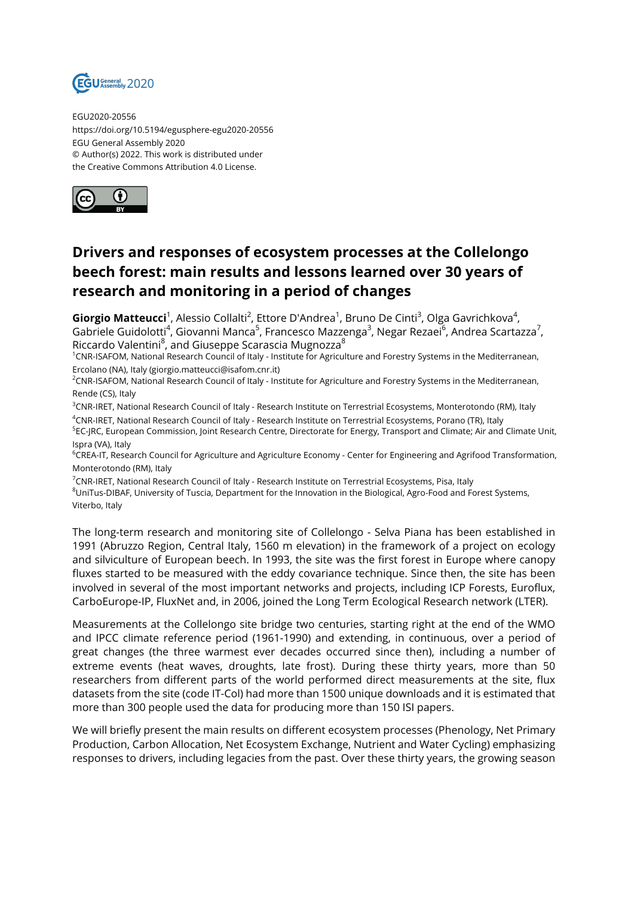

EGU2020-20556 https://doi.org/10.5194/egusphere-egu2020-20556 EGU General Assembly 2020 © Author(s) 2022. This work is distributed under the Creative Commons Attribution 4.0 License.



## **Drivers and responses of ecosystem processes at the Collelongo beech forest: main results and lessons learned over 30 years of research and monitoring in a period of changes**

**Giorgio Matteucci**<sup>1</sup>, Alessio Collalti<sup>2</sup>, Ettore D'Andrea<sup>1</sup>, Bruno De Cinti<sup>3</sup>, Olga Gavrichkova<sup>4</sup>, Gabriele Guidolotti<sup>4</sup>, Giovanni Manca<sup>5</sup>, Francesco Mazzenga<sup>3</sup>, Negar Rezaei<sup>6</sup>, Andrea Scartazza<sup>7</sup>, Riccardo Valentini $^8$ , and Giuseppe Scarascia Mugnozza $^8$ 

<sup>1</sup>CNR-ISAFOM, National Research Council of Italy - Institute for Agriculture and Forestry Systems in the Mediterranean, Ercolano (NA), Italy (giorgio.matteucci@isafom.cnr.it)

<sup>2</sup>CNR-ISAFOM, National Research Council of Italy - Institute for Agriculture and Forestry Systems in the Mediterranean, Rende (CS), Italy

<sup>3</sup>CNR-IRET, National Research Council of Italy - Research Institute on Terrestrial Ecosystems, Monterotondo (RM), Italy <sup>4</sup>CNR-IRET, National Research Council of Italy - Research Institute on Terrestrial Ecosystems, Porano (TR), Italy

<sup>5</sup>EC-JRC, European Commission, Joint Research Centre, Directorate for Energy, Transport and Climate; Air and Climate Unit, Ispra (VA), Italy

<sup>6</sup>CREA-IT, Research Council for Agriculture and Agriculture Economy - Center for Engineering and Agrifood Transformation, Monterotondo (RM), Italy

 $7$ CNR-IRET, National Research Council of Italy - Research Institute on Terrestrial Ecosystems, Pisa, Italy <sup>8</sup>UniTus-DIBAF, University of Tuscia, Department for the Innovation in the Biological, Agro-Food and Forest Systems, Viterbo, Italy

The long-term research and monitoring site of Collelongo - Selva Piana has been established in 1991 (Abruzzo Region, Central Italy, 1560 m elevation) in the framework of a project on ecology and silviculture of European beech. In 1993, the site was the first forest in Europe where canopy fluxes started to be measured with the eddy covariance technique. Since then, the site has been involved in several of the most important networks and projects, including ICP Forests, Euroflux, CarboEurope-IP, FluxNet and, in 2006, joined the Long Term Ecological Research network (LTER).

Measurements at the Collelongo site bridge two centuries, starting right at the end of the WMO and IPCC climate reference period (1961-1990) and extending, in continuous, over a period of great changes (the three warmest ever decades occurred since then), including a number of extreme events (heat waves, droughts, late frost). During these thirty years, more than 50 researchers from different parts of the world performed direct measurements at the site, flux datasets from the site (code IT-Col) had more than 1500 unique downloads and it is estimated that more than 300 people used the data for producing more than 150 ISI papers.

We will briefly present the main results on different ecosystem processes (Phenology, Net Primary Production, Carbon Allocation, Net Ecosystem Exchange, Nutrient and Water Cycling) emphasizing responses to drivers, including legacies from the past. Over these thirty years, the growing season